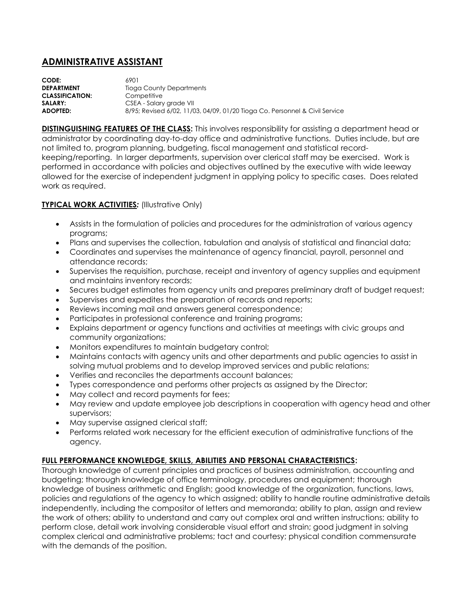## **ADMINISTRATIVE ASSISTANT**

**CODE:** 6901 **DEPARTMENT** Tioga County Departments **CLASSIFICATION:** Competitive **SALARY:** CSEA - Salary grade VII **ADOPTED:** 8/95; Revised 6/02, 11/03, 04/09, 01/20 Tioga Co. Personnel & Civil Service

**DISTINGUISHING FEATURES OF THE CLASS:** This involves responsibility for assisting a department head or administrator by coordinating day-to-day office and administrative functions. Duties include, but are not limited to, program planning, budgeting, fiscal management and statistical recordkeeping/reporting. In larger departments, supervision over clerical staff may be exercised. Work is performed in accordance with policies and objectives outlined by the executive with wide leeway allowed for the exercise of independent judgment in applying policy to specific cases. Does related work as required.

## **TYPICAL WORK ACTIVITIES***:* (Illustrative Only)

- Assists in the formulation of policies and procedures for the administration of various agency programs;
- Plans and supervises the collection, tabulation and analysis of statistical and financial data;
- Coordinates and supervises the maintenance of agency financial, payroll, personnel and attendance records;
- Supervises the requisition, purchase, receipt and inventory of agency supplies and equipment and maintains inventory records;
- Secures budget estimates from agency units and prepares preliminary draft of budget request;
- Supervises and expedites the preparation of records and reports;
- Reviews incoming mail and answers general correspondence;
- Participates in professional conference and training programs;
- Explains department or agency functions and activities at meetings with civic groups and community organizations;
- Monitors expenditures to maintain budgetary control;
- Maintains contacts with agency units and other departments and public agencies to assist in solving mutual problems and to develop improved services and public relations;
- Verifies and reconciles the departments account balances;
- Types correspondence and performs other projects as assigned by the Director;
- May collect and record payments for fees;
- May review and update employee job descriptions in cooperation with agency head and other supervisors;
- May supervise assigned clerical staff;
- Performs related work necessary for the efficient execution of administrative functions of the agency.

## **FULL PERFORMANCE KNOWLEDGE, SKILLS, ABILITIES AND PERSONAL CHARACTERISTICS:**

Thorough knowledge of current principles and practices of business administration, accounting and budgeting; thorough knowledge of office terminology, procedures and equipment; thorough knowledge of business arithmetic and English; good knowledge of the organization, functions, laws, policies and regulations of the agency to which assigned; ability to handle routine administrative details independently, including the compositor of letters and memoranda; ability to plan, assign and review the work of others; ability to understand and carry out complex oral and written instructions; ability to perform close, detail work involving considerable visual effort and strain; good judgment in solving complex clerical and administrative problems; tact and courtesy; physical condition commensurate with the demands of the position.